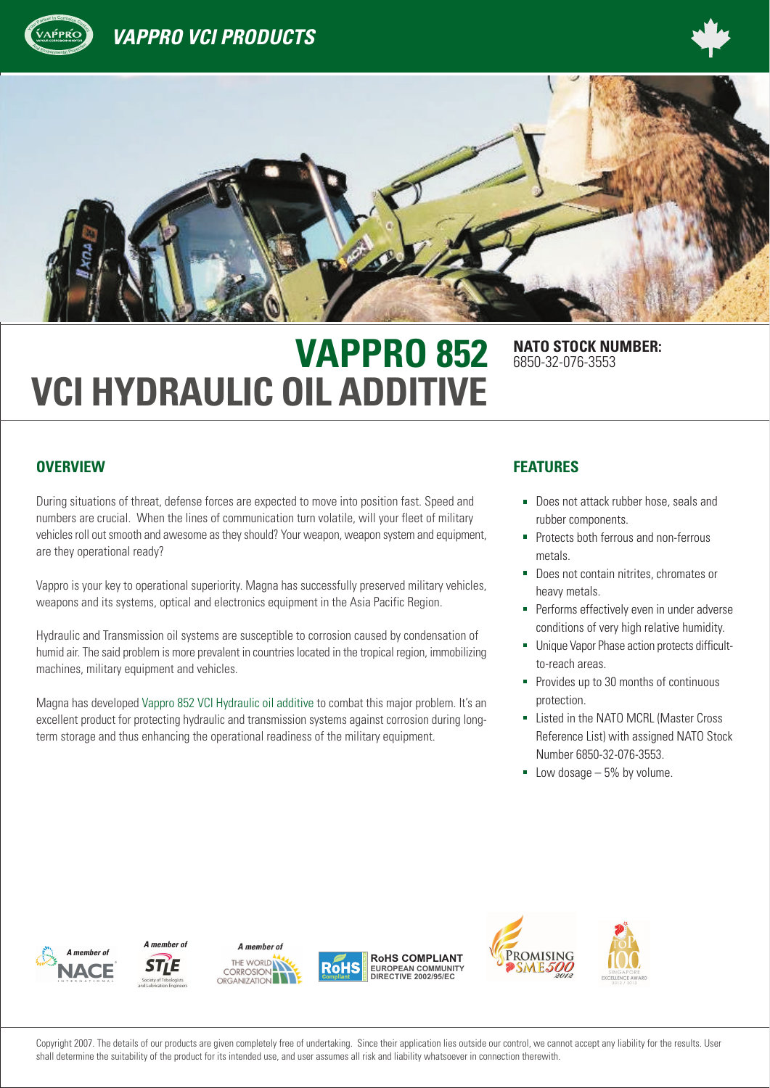

# **VAPPRO 852** NATO STOCK NUMBER: **VCI HYDRAULIC OIL ADDITIVE**

6850-32-076-3553

#### **OVERVIEW FEATURES**

During situations of threat, defense forces are expected to move into position fast. Speed and numbers are crucial. When the lines of communication turn volatile, will your fleet of military vehicles roll out smooth and awesome as they should? Your weapon, weapon system and equipment, are they operational ready?

Vappro is your key to operational superiority. Magna has successfully preserved military vehicles, weapons and its systems, optical and electronics equipment in the Asia Pacific Region.

Hydraulic and Transmission oil systems are susceptible to corrosion caused by condensation of humid air. The said problem is more prevalent in countries located in the tropical region, immobilizing machines, military equipment and vehicles.

Magna has developed Vappro 852 VCI Hydraulic oil additive to combat this major problem. It's an excellent product for protecting hydraulic and transmission systems against corrosion during longterm storage and thus enhancing the operational readiness of the military equipment.

- Does not attack rubber hose, seals and rubber components.
- **Protects both ferrous and non-ferrous** metals.
- Does not contain nitrites, chromates or heavy metals.
- **Performs effectively even in under adverse** conditions of very high relative humidity.
- Unique Vapor Phase action protects difficultto-reach areas.
- **Provides up to 30 months of continuous** protection.
- **Listed in the NATO MCRL (Master Cross** Reference List) with assigned NATO Stock Number 6850-32-076-3553.
- $\blacksquare$  Low dosage  $-5\%$  by volume.













Copyright 2007. The details of our products are given completely free of undertaking. Since their application lies outside our control, we cannot accept any liability for the results. User shall determine the suitability of the product for its intended use, and user assumes all risk and liability whatsoever in connection therewith.